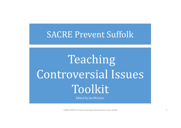# SACRE Prevent Suffolk

Teaching Controversial Issues Toolkit

Edited by Jan McGuire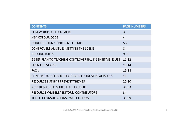| <b>CONTENTS</b>                                          | <b>PAGE NUMBERS</b> |
|----------------------------------------------------------|---------------------|
| <b>FOREWORD: SUFFOLK SACRE</b>                           | 3                   |
| <b>KEY: COLOUR CODE</b>                                  | $\overline{4}$      |
| <b>INTRODUCTION: 9 PREVENT THEMES</b>                    | $5 - 7$             |
| <b>CONTROVERSIAL ISSUES: SETTING THE SCENE</b>           | 8                   |
| <b>GROUND RULES</b>                                      | $9 - 10$            |
| 6 STEP PLAN TO TEACHING CONTROVERSIAL & SENSITIVE ISSUES | $11 - 12$           |
| <b>OPEN QUESTIONS</b>                                    | $13 - 14$           |
| FAQ:                                                     | $15 - 18$           |
| CONCEPTUAL STEPS TO TEACHING CONTROVERISAL ISSUES        | 19                  |
| <b>RESOURCE LIST BY 9 PREVENT THEMES</b>                 | $20 - 30$           |
| ADDITIONAL CPD SLIDES FOR TEACHERS                       | $31 - 33$           |
| <b>RESOURCE WRITERS/ EDITORS/ CONTRIBUTORS</b>           | 34                  |
| <b>TOOLKIT CONSULTATIONS: 'WITH THANKS'</b>              | 35-39               |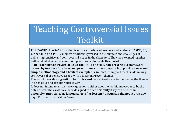# Teaching Controversial Issues Toolkit

**FOREWORD**: The **SACRE** writing team are experienced teachers and advisers of **SMSC**, **RE, Citizenship and PSHE**, subjects traditionally versed in the nuances and challenges of delivering sensitive and controversial issues in the classroom. They have teamed together with a talented group of classroom practitioners to create this toolkit.

**'The Teaching Controversial Issue Toolkit'** is a flexible, **non‐prescriptive** framework written **by teachers for classroom practitioners**. Its key purpose is to provide **<sup>a</sup> new and simple** methodology and a bank of exemplar resources to support teachers delivering controversial or sensitive issues; with a focus on Prevent themes.

The toolkit provides suggestions for **topics and conceptual steps** for delivering the themes in a sensitive and age appropriate way.

It does not intend to answer every question: neither does the toolkit endeavour to be the only answer. The cards have been designed to offer **flexibility:** they can be used in **assembly/ tutor time/ as lesson starters/ as lessons/ discussion themes** at drop‐down 

days: E.G. the British Values Game.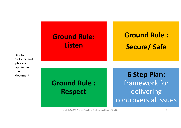Key to 'colours' andphrases applied in thedocument

## **Ground Rule: Listen**

# **Ground Rule : Secure/ Safe**

**Ground Rule : Respect**

**6 Step Plan:** framework for delivering controversial issues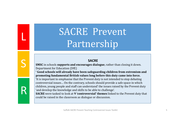# SACRE Prevent Partnership

L

S

R

### **SACRE**

**SMSC** in schools **supports and encourages dialogue**, rather than closing it down. Department for Education (DfE)

**' Good schools will already have been safeguarding children from extremism and promoting fundamental British values long before this duty came into force.**

'It is important to emphasise that the Prevent duty is not intended to stop debating controversial issues... On the contrary, schools should provide a safe space in which children, young people and staff can understand' the issues raised by the Prevent duty 'and develop the knowledge and skills to be able to challenge'.

**SACRE** were tasked to look at **9 'controversial' themes** linked to the Prevent duty that could be raised in the classroom as dialogue or discussion.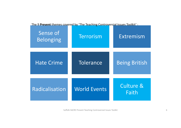The 9 **Prevent** themes covered by 'The Teaching Controversial Issues Toolkit' :

| Sense of<br><b>Belonging</b> | Terrorism           | Extremism                     |
|------------------------------|---------------------|-------------------------------|
| <b>Hate Crime</b>            | Tolerance           | <b>Being British</b>          |
| <b>Radicalisation</b>        | <b>World Events</b> | <b>Culture &amp;</b><br>Faith |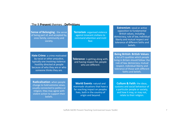| <b>Sense of Belonging: the sense</b><br>of being part of, and accepted by,<br>ones family, community and<br>society.                                                                                     | <b>Terrorism: organised violence</b><br>against innocent civilians to<br>command attention and instil<br>fear.                                              | <b>Extremism: vocal or active</b><br>opposition to fundamental<br>British values, including<br>democracy, rule of law, individual<br>liberty and mutual respect and<br>tolerance of different faiths and<br>beliefs.                                 |
|----------------------------------------------------------------------------------------------------------------------------------------------------------------------------------------------------------|-------------------------------------------------------------------------------------------------------------------------------------------------------------|------------------------------------------------------------------------------------------------------------------------------------------------------------------------------------------------------------------------------------------------------|
|                                                                                                                                                                                                          |                                                                                                                                                             |                                                                                                                                                                                                                                                      |
| <b>Hate Crime: a crime motivated</b><br>by racial or other prejudice,<br>typically one involving violence:<br>hostility directed at people<br>because of who they are or who<br>someone thinks they are. | <b>Tolerance:</b> is getting along with,<br>and having respect for, people<br>who are different.                                                            | <b>Being British: British Values:</b><br>a list of 5 qualities which people<br>living in Britain should follow: the<br>rule of law, democracy, mutual<br>respect, individual liberty and<br>tolerance of those with different<br>faiths and beliefs. |
|                                                                                                                                                                                                          |                                                                                                                                                             |                                                                                                                                                                                                                                                      |
| Radicalisation: when people<br>change to hold extreme views,<br>usually connected to politics or<br>religion; they may agree with<br>violent action to support their<br>beliefs.                         | <b>World Events: natural and</b><br>manmade situations that have a<br>far reaching impact on peoples<br>lives, both in the country of<br>origin and beyond. | <b>Culture &amp; Faith: the ideas,</b><br>customs and social behaviour of<br>a particular people or society,<br>and how it may, or may not,<br>relate to their religion.                                                                             |

### The 9 **Prevent** themes : **Definitions**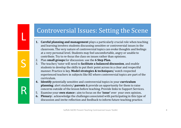### Controversial Issues: Setting the Scene

- **1. Careful planning and management** plays a particularly crucial role when teaching and learning involves students discussing sensitive or controversial issues in the classroom. The very nature of controversial topics can evoke thoughts and feelings at a very personal level. Students may feel uncomfortable, angry or unable to contribute. Try to re-focus the class on issues rather than opinions.
- 2. Plan **small groups** for discussion: use the 6 Step Plan.

L

S

R

- 3. The teacher/ tutor will need to **facilitate a balanced discussion**, and enable students to develop the skills to put their point across in a clear and respectful manner. Practice is key. **Model strategies & techniques**/ watch respected experienced teachers in subjects like RE where controversial topics are part of the curriculum.
- **4. Identify** potentially sensitive and controversial topics in your **curriculum planning**: alert students/ **parents** & provide an opportunity for them to raise concerns outside of the lesson before teaching. Provide links to Support Services.
- 5. Examine your **own stance**: aim to focus on the **'issue'** over your own opinion.
- **6.** Plenary: acknowledge the challenges associated with participating in this type of discussion and invite reflection and feedback to inform future teaching practice.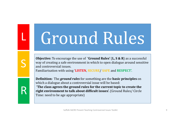# Ground Rules

L

S

R

**Objective:** To encourage the use of **'Ground Rules'** (**L, S & R**) as a successful way of creating a safe environment in which to open dialogue around sensitive and controversial issues. Familiarisation with using 'LISTEN, SECURE/ SAFE and RESPECT'.

**Definition:** The *ground rules* for something are the **basic principles** on which a dialogue about a controversial issue will be based: **'The class agrees the ground rules for the current topic to create the right environment to talk about difficult issues'.** (Ground Rules/ Circle Time: need to be age appropriate)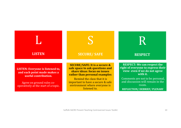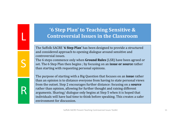### **'6 Step Plan' to Teaching Sensitive & Controversial Issues in the Classroom**

**The Suffolk SACRE '6 Step Plan'** has been designed to provide a structured and considered approach to opening dialogue around sensitive and controversial issues.

L

S

R

The 6 steps commence only when **Ground Rules** (LSR) have been agreed or **set.** The 6 Step Plan then begins ; by focusing on an **issue or source** rather than starting with requesting personal opinions.

The purpose of starting with a Big Question that focuses on an **issue** rather than an opinion is to distance everyone from having to state personal views from the outset. Step 2 encourages further distance: focusing on a **source** rather than opinion, allowing for further thought and raising different arguments. Sharing/ dialogue only begins at Step 5 when it is hoped that individuals will have had time to think before speaking. This creates a safer environment for discussion.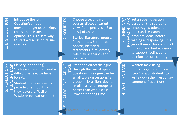6. REFLECTION/

EFLECTI

.<br>ف

 $\overline{\bigcirc}$ 

2. Introduce the 'Big<br>
2. Question': an open<br>
4. Guestion to get us thinking.<br>
5. Focus on an issue, not an<br>
2. Guestion. This is a safe way<br>
2. Controllary to start a discussion. 'Issue<br>
2. Guestion' a safe way to start a discussion. 'Issueover opinion'

2. SOURCES

a secondary source‐ discover variedviews/ perspectives (x3 at least) of an issue.

Stories, literature, poetry, faith quotes, Scripture, photos, historical statements, film, drama, role play, scenarios and podcasts.

SERCH TASKS Set an open question<br>
SEARCH TASKS based on the source to encourage students to think and research different ideas, before which different ideas, before writing and speaking. This

3. THINKING/  $\overline{\mathsf{S}}$ 

a chance to sort through and find evidence to support feelings and opinions before sharing.

S Plenary (debriefing) :<br>
S 'Today we have discussed<br>
I difficult issue & we have<br>
S found...'<br>
S Students to have time to<br>
I provide one thought as difficult issue & we have found….'

a

5. DIALOGUE/ SHARING

**DIALOGUE** 

 $\overline{5}$ 

SHARIN

Students to have time to provide one thought as they leave e.g. Wall of Wisdom/ evaluation sheet. Steer and direct dialogue<br>
Internal of open<br>
through the use of open<br>
questions. Dialogue can be small table discussions/ a group task/ a silent debate: small discussion groups are better than whole class. Provide 'sharing time'.

ME Written task: using<br>
thoughts gathered from<br>
step 1,2 & 3, students to<br>
write down their respor<br>
comments/ questions.<br>
NEXING THE COMMENT COMMENT COMMENTS<br>
SAILLY & 3, students to write down their response/ comments/ questions.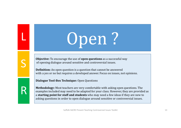# Open?

**Objective:** To encourage the use of **open questions** as a successful way of opening dialogue around sensitive and controversial issues.

**Definition:** An open question is a question that cannot be answered with a yes or no but requires a developed answer. Focus on issues, not opinions.

**Dialogue Tool‐Box Technique:** Open Questions

L

S

R

**Methodology:** Most teachers are very comfortable with asking open questions. The examples included may need to be adapted for your class. However, they are provided as a **starting point for staff and students** who may need a few ideas if they are new to asking questions in order to open dialogue around sensitive or controversial issues.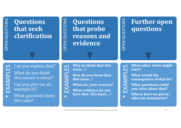# **Soult Unit Contribute Superiors**<br> **Contribute Superification**<br> **Contribute Superification**

# **Solutz Cuestions<br>
<b>COPEN SUBBER 2018 PEASONS**<br> **COPEN PEASONS**<br> **COPEN PEASONS**<br> **COPEN PEASONS**<br> **COPEN PEASONS**

# **Soluther open<br>
Bushions<br>
Bushions**<br> **C**<br> **Bushion**

\*

 $\begin{array}{ll}\n\bullet \quad \text{Can you explain that?} \\
\hline \quad \text{What do you think} \\
\bullet \quad \text{this source is about?} \\
\text{Can you give me an} \\
\bullet \quad \text{example of?} \\
\star \quad \text{What questions does}\n\end{array}$ 

this raise?

- 
- 
- 
- Why do think that this<br>  $\sum_{\substack{\text{this issue...}}}$ <br>
How do you know that<br>  $\sum_{\substack{\text{this issue...}}}$ <br>
What are your reasons?<br>
What evidence do you<br>
are that this issue...?<br>
What evidence do you<br>  $\sum_{\substack{\text{with } \text{the } \\ \text{the } \\ \text{the } \\ \text{the } \\ \text{the } \\ \text{the } \\ \$

\*



- 
- 
- 
- **can summarise?**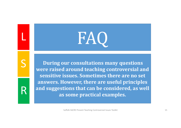

L

S

R

**During our consultations many questions were raised around teaching controversial and sensitive issues. Sometimes there are no set answers. However, there are useful principles and suggestions that can be considered, as well as some practical examples.**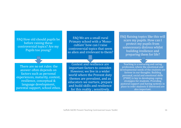FAQ How old should pupils be before raising these controversial topics? Are my Pupils too young?

FAQ We are a small rural Primary school with a 'Monoculture' how can I raise controversial topics that seem so alien and irrelevant to them?

There are no set rules: the answer often depends on factors such as personal experiences, maturity, context, resilience, conceptual & language development. parental support, school ethos.

Context and resilience are important factors to consider. However, we live in a wider world where the Prevent duty themes are prevalent, and as educators we nurture, prepare and build skills and resilience for this reality ; sensitively.

FAQ Raising topics like this will scare my pupils. How can I protect my pupils from unnecessary distress whilst building resilience and preparing them for life?

Teaching is a nurturing and caring profession, where the emotional and developmental needs of the students are forever in our thoughts. Building personal, social and emotional skills (PSHE) is key to developing coping strategies for students. Providing pastoral support and having systems in place to refer students if distressed are also important.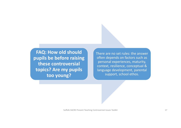**FAQ: How old should pupils be before raising these controversial topics? Are my pupils too young?**

There are no set rules: the answer often depends on factors such as personal experiences, maturity, context, resilience, conceptual & language development, parental support, school ethos.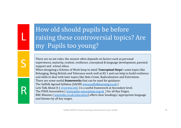# How old should pupils be before raising these controversial topics? Are my Pupils too young?

There are no set rules: the answer often depends on factors such as personal experiences, maturity, context, resilience, conceptual & language development, parental support and school ethos.

When designing a Scheme of Work keep in mind **'Conceptual Steps':** some topics like Belonging, Being British and Tolerance work well at KS 1 and can help to build resilience and skills to deal with later topics like Hate Crime, Radicalisation and Extremism. There are some useful **frameworks** that can be used for guidance:

The Suffolk Agreed Syllabus (SACRE www.suffolklearning.co.uk)

L

S

R

Lets Talk About It ( www.ltai.info ) is a useful framework at Secondary level.

The PSHE Association (www.pshe-association.org.uk) for all Key Stages.

BBC Bitesize (*www.bbc.co.uk/education*) offers clear headings/ appropriate language and themes by all key stages.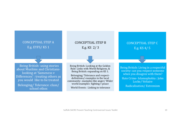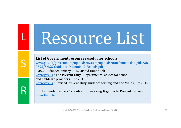# Resource List

### **List of Government resources useful for schools:**

L

S

R

www.gov.uk/government/uploads/system/uploads/attachment\_data/file/38 0595/SMSC\_Guidance\_Maintained\_Schools.pdf

SMSC Guidance: January 2015 Ofsted Handbook www.gov.uk : The Prevent Duty : Departmental advice for school and childcare providers June 2015 www.gov.uk : Revised Prevent Duty guidance for England and Wales July 2015

Further guidance: Lets Talk About It: Working Together to Prevent Terrorism: www.ltai.info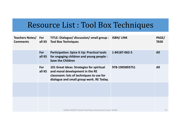# Resource List : Tool Box Techniques

| <b>Teachers Notes/ For</b><br><b>Comments</b> | all KS        | TITLE: Dialogue/ discussion/ small group : ISBN/ LINK<br><b>Tool Box Techniques</b>                                                                                  |                | PAGE/<br><b>TASK</b> |
|-----------------------------------------------|---------------|----------------------------------------------------------------------------------------------------------------------------------------------------------------------|----------------|----------------------|
|                                               | For<br>all KS | <b>Participation: Spice It Up: Practical tools</b><br>for engaging children and young people :<br><b>Save the Children</b>                                           | 1-84187-062-5  | <b>All</b>           |
|                                               | For<br>all KS | 101 Great Ideas: Strategies for spiritual<br>and moral development in the RE<br>classroom: lots of techniques to use for<br>dialogue and small group work. RE Today. | 978-1905893751 | All                  |
|                                               |               |                                                                                                                                                                      |                |                      |
|                                               |               | Suffolk SACRE Prevent Teaching Controversial Issues Toolkit                                                                                                          |                | 21                   |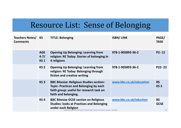# Resource List: Sense of Belonging

| <b>Teachers Notes/KS</b><br><b>Comments</b> |                                      | <b>TITLE: Belonging</b>                                                                                                                                                                 | <b>ISBN/LINK</b>        | PAGE/<br><b>TASK</b>           |
|---------------------------------------------|--------------------------------------|-----------------------------------------------------------------------------------------------------------------------------------------------------------------------------------------|-------------------------|--------------------------------|
|                                             | <b>AGE</b><br>$4 - 7/$<br><b>KS1</b> | <b>Opening Up Belonging: Learning from</b><br>religion: RE Today: Stories of belonging in<br>4 religions                                                                                | 978-1-905893-36-2       | $P2 - 12$                      |
|                                             | KS <sub>2</sub>                      | <b>Opening Up Belonging: Learning from</b><br>religion: RE Today: Belonging through<br>fiction and creative writing                                                                     | 978-1-905893-36-2       | $P22 - 23$                     |
|                                             | KS <sub>3</sub>                      | <b>BBC Bitesize: Religious Studies section:</b><br><b>Topic- Practices and Belonging by each</b><br>faith group: useful for research task on<br>faith and belonging.                    | www.bbc.co.uk/education | <b>RS</b><br>KS <sub>3</sub>   |
|                                             | <b>KS4</b>                           | <b>BBC Bitesize GCSE section on Religious</b><br><b>Studies: looks at Practises and Belonging</b><br>under each Religion<br>Suffolk SACRE Prevent Teaching Controversial Issues Toolkit | www.bbc.co.uk/eduction  | <b>RS</b><br><b>GCSE</b><br>22 |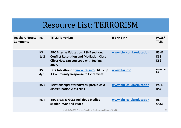# Resource List: TERRORISM

| <b>Teachers Notes/KS</b><br><b>Comments</b> |                  | <b>TITLE: Terrorism</b>                                                                                                                         | <b>ISBN/LINK</b>        | PAGE/<br><b>TASK</b>                         |
|---------------------------------------------|------------------|-------------------------------------------------------------------------------------------------------------------------------------------------|-------------------------|----------------------------------------------|
|                                             | <b>KS</b><br>1/2 | <b>BBC Bitesize Education: PSHE section:</b><br><b>Conflict Resolution and Mediation Class</b><br>Clips: How can you cope with feeling<br>angry | www.bbc.co.uk/education | <b>PSHE</b><br><b>KS1</b><br>KS <sub>2</sub> |
|                                             | <b>KS</b><br>4/5 | Lets Talk About It www.ltai.info: film clip:<br>A Community Response to Extremism                                                               | www.ltai.info           | <b>Resources</b><br>tab                      |
|                                             | <b>KS4</b>       | Relationships: Stereotypes, prejudice &<br>discrimination class clips                                                                           | www.bbc.co.uk/education | <b>PSHE</b><br>KS4                           |
|                                             | <b>KS4</b>       | <b>BBC Bitesize GCSE Religious Studies</b><br>section: War and Peace<br>Suffolk SACRE Prevent Teaching Controversial Issues Toolkit             | www.bbc.co.uk/education | <b>RS</b><br><b>GCSE</b><br>23               |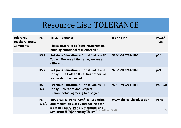# Resource List: TOLERANCE

| <b>Tolerance</b><br><b>Teachers Notes/</b><br><b>Comments</b> | <b>KS</b>          | <b>TITLE: Tolerance</b><br>Please also refer to 'SEAL' resources on<br>building emotional resilience: all KS                                                                                                                           | <b>ISBN/LINK</b>        | PAGE/<br><b>TASK</b> |
|---------------------------------------------------------------|--------------------|----------------------------------------------------------------------------------------------------------------------------------------------------------------------------------------------------------------------------------------|-------------------------|----------------------|
|                                                               | <b>KS1</b>         | <b>Religious Education &amp; British Values-RE</b><br>Today : We are all the same; we are all<br>different.                                                                                                                            | 978-1-910261-10-1       | p18                  |
|                                                               | <b>KS 2</b>        | <b>Religious Education &amp; British Values-RE</b><br>Today: The Golden Rule: treat others as<br>you wish to be treated                                                                                                                | 978-1-910261-10-1       | p21                  |
|                                                               | <b>KS</b><br>3/4   | <b>Religious Education &amp; British Values-RE</b><br><b>Today: Tolerance and Respect:</b><br>Islamophobia: agreeing to disagree                                                                                                       | 978-1-910261-10-1       | <b>P40-50</b>        |
|                                                               | <b>KS</b><br>1/2/3 | <b>BBC Bitesize: PSHE- Conflict Resolution</b><br>and Mediation Class Clips: seeing both<br>sides of a story: PSHE-Differences and<br>Suffolk SACRE Prevent Teaching Controversial Issues Toolkit<br>Similarities: Experiencing racism | www.bbc.co.uk/education | <b>PSHE</b><br>24    |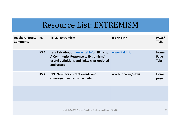# Resource List: EXTREMISM

| <b>Teachers Notes/ KS</b><br><b>Comments</b> |            | <b>TITLE: Extremism</b>                                                                                                                          | <b>ISBN/LINK</b>  | PAGE/<br><b>TASK</b>        |
|----------------------------------------------|------------|--------------------------------------------------------------------------------------------------------------------------------------------------|-------------------|-----------------------------|
|                                              | <b>KS4</b> | Lets Talk About It www.ltai.info: film clip:<br>A Community Response to Extremism/<br>useful definitions and links/ clips updated<br>and vetted. | www.ltai.info     | Home<br>Page<br><b>Tabs</b> |
|                                              | <b>KS4</b> | <b>BBC News for current events and</b><br>coverage of extremist activity                                                                         | ww.bbc.co.uk/news | Home<br>page                |
|                                              |            |                                                                                                                                                  |                   |                             |
|                                              |            | Suffolk SACRE Prevent Teaching Controversial Issues Toolkit                                                                                      |                   | 25                          |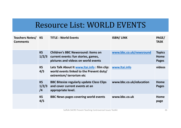# Resource List: WORLD EVENTS

| <b>Teachers Notes/KS</b><br><b>Comments</b> |                          | <b>TITLE: World Events</b>                                                                                              | <b>ISBN/LINK</b>        | PAGE/<br><b>TASK</b>                  |
|---------------------------------------------|--------------------------|-------------------------------------------------------------------------------------------------------------------------|-------------------------|---------------------------------------|
|                                             | <b>KS</b><br>1/2/3       | <b>Children's BBC Newsround: items on</b><br>current events: fun stories, games,<br>pictures and videos on world events | www.bbc.co.uk/newsround | <b>Topics</b><br>Home<br><b>Pages</b> |
|                                             | <b>KS</b><br>4/5         | Lets Talk About It www.ltai.info: film clip:<br>world events linked to the Prevent duty/<br>extremism/terrorismetc      | www.ltai.info           | videos                                |
|                                             | <b>KS</b><br>1/2/3<br>/4 | <b>BBC Bitesize regularly update Class Clips</b><br>and cover current events at an<br>appropriate level.                | www.bbc.co.uk/education | Home<br><b>Pages</b>                  |
|                                             | <b>KS</b><br>4/5         | <b>BBC News pages covering world events</b>                                                                             | www.bbc.co.uk           | Home<br>page                          |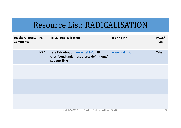# Resource List: RADICALISATION

| <b>Teachers Notes/ KS</b><br><b>Comments</b> |                 | <b>TITLE: Radicalisation</b>                                                                         | <b>ISBN/LINK</b> | PAGE/<br><b>TASK</b> |
|----------------------------------------------|-----------------|------------------------------------------------------------------------------------------------------|------------------|----------------------|
|                                              | KS <sub>4</sub> | Lets Talk About It www.ltai.info: film<br>clips found under resources/ definitions/<br>support links | www.ltai.info    | <b>Tabs</b>          |
|                                              |                 |                                                                                                      |                  |                      |
|                                              |                 |                                                                                                      |                  |                      |
|                                              |                 |                                                                                                      |                  |                      |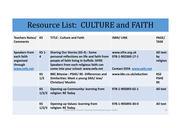# Resource List: CULTURE and FAITH

| <b>Teachers Notes/KS</b><br><b>Comments</b>                                |                                | <b>TITLE: Culture and Faith</b>                                                                                                                                                                                     | <b>ISBN/LINK</b>                                                          | PAGE/<br><b>TASK</b>                        |
|----------------------------------------------------------------------------|--------------------------------|---------------------------------------------------------------------------------------------------------------------------------------------------------------------------------------------------------------------|---------------------------------------------------------------------------|---------------------------------------------|
| <b>Speakers from</b><br>each faith<br>organised<br>through<br>www.eefa.net | <b>KS 1-</b><br>$\overline{4}$ | <b>Sharing Our Stories (KS 4): Some</b><br>personal reflections on life and faith from<br>people of faith living in Suffolk: SIFRE<br>Speakers from each religious faith can<br>come into your school: www.eefa.net | www.sifre.org.uk<br>978-1-902360-17-1<br><b>Contact EEFA www.eefa.net</b> | <b>All text:</b><br>by<br>religion          |
|                                                                            | <b>KS</b><br>1/2               | <b>BBC Bitesize: PSHE/ RE- Differences and</b><br>Similarities: Meet a young Sikh/ Jew/<br><b>Christian/ Muslim</b>                                                                                                 | www.bbc.co.uk/eduction                                                    | KS <sub>2</sub><br><b>PSHE</b><br><b>RE</b> |
|                                                                            | <b>KS</b><br>1/2/3             | <b>Opening up Community: learning from</b><br>religion: RE Today                                                                                                                                                    | 978-1-905893-62-1                                                         | <b>All text</b>                             |
|                                                                            | <b>KS</b><br>1/2/3             | <b>Opening up Values: learning from</b><br>religion: RE Today<br>Suffolk SACRE Prevent Teaching Controversial Issues Toolkit                                                                                        | 978-1-905893-30-0                                                         | <b>All text</b><br>28                       |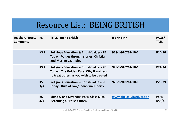# Resource List: BEING BRITISH

| <b>Teachers Notes/KS</b><br><b>Comments</b> |                  | <b>TITLE: Being British</b>                                                                                                                      | <b>ISBN/LINK</b>        | PAGE/<br><b>TASK</b>        |
|---------------------------------------------|------------------|--------------------------------------------------------------------------------------------------------------------------------------------------|-------------------------|-----------------------------|
|                                             | <b>KS1</b>       | <b>Religious Education &amp; British Values-RE</b><br><b>Today: Values through stories: Christian</b><br>and Muslim examples                     | 978-1-910261-10-1       | P14-20                      |
|                                             | KS <sub>2</sub>  | <b>Religious Education &amp; British Values-RE</b><br><b>Today: The Golden Rule: Why it matters</b><br>to treat others as you wish to be treated | 978-1-910261-10-1       | P21-24                      |
|                                             | <b>KS</b><br>3/4 | <b>Religious Education &amp; British Values-RE</b><br><b>Today: Rule of Law/ Individual Liberty</b>                                              | 978-1-910261-10-1       | P28-39                      |
|                                             | <b>KS</b><br>3/4 | <b>Identity and Diversity: PSHE Class Clips:</b><br><b>Becoming a British Citizen</b>                                                            | www.bbc.co.uk/education | <b>PSHE</b><br><b>KS3/4</b> |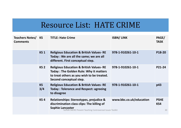# Resource List: HATE CRIME

| <b>Teachers Notes/KS</b><br><b>Comments</b> |                  | <b>TITLE: Hate Crime</b>                                                                                                                                                        | <b>ISBN/LINK</b>        | PAGE/<br><b>TASK</b>     |
|---------------------------------------------|------------------|---------------------------------------------------------------------------------------------------------------------------------------------------------------------------------|-------------------------|--------------------------|
|                                             | <b>KS1</b>       | <b>Religious Education &amp; British Values-RE</b><br>Today : We are all the same; we are all<br>different. First conceptual step.                                              | 978-1-910261-10-1       | P18-20                   |
|                                             | KS <sub>2</sub>  | <b>Religious Education &amp; British Values-RE</b><br><b>Today: The Golden Rule: Why it matters</b><br>to treat others as you wish to be treated.<br>Second conceptual step.    | 978-1-910261-10-1       | P21-24                   |
|                                             | <b>KS</b><br>3/4 | <b>Religious Education &amp; British Values-RE</b><br><b>Today: Tolerance and Respect: agreeing</b><br>to disagree                                                              | 978-1-910261-10-1       | p43                      |
|                                             | KS <sub>4</sub>  | Relationships: Stereotypes, prejudice &<br>discrimination class clips: The killing of<br><b>Sophie Lancaster</b><br>Suffolk SACRE Prevent Teaching Controversial Issues Toolkit | www.bbc.co.uk/education | <b>PSHE</b><br>KS4<br>30 |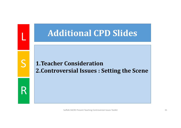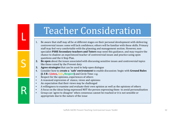# **Teacher Consideration**

- 1. Be aware that staff may all be at different stages on their personal development with delivering controversial issues: some will lack confidence; others will be familiar with these skills. Primary staff may feel very comfortable with the planning and management section. However, non**specialist PSHE Secondary teachers and Tutors** may need this guidance, and may require the chance to shadow an experienced teacher of controversial issues and practice using open questions and the 6 Step Plan.
- **2. Be open** about the issues associated with discussing sensitive issues and controversial topics like those raised by the Prevent duty
- **3. Agree strategies** that can be used to help open dialogue
- 4. Consider how to **create <sup>a</sup> 'safe' environment** to enable discussion: begin with **Ground Rules (L S R : Listen, Safe, Respect)** and Circle Time: e.g.
- •Respect for the opinions, experiences of others

L

S

R

- •A reasoned expression of stance, views and opinions
- •An expectation that their views may be challenged
- •A willingness to examine and evaluate their own opinion as well as the opinions of others
- •A focus on the ideas being expressed NOT the person expressing them- to avoid personalisation
- •Group can 'agree to disagree' when consensus cannot be reached or it is not sensible or appropriate due to the nature of the issue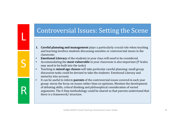### Controversial Issues: Setting the Scene

- **1. Careful planning and management** plays a particularly crucial role when teaching and learning involves students discussing sensitive or controversial issues in the classroom:
- •**Emotional Literacy** of the students in your class will need to be considered.

L

S

R

- •Accommodating the **most vulnerable** in your classroom is also important (P Scales may need to be built into the tasks)
- •Teaching in **mixed age classes** will take particular careful planning: small group discussion tasks could be devised to take the students Emotional Literacy and maturity into account.
- •It can be useful to inform **parents** of the controversial issues covered in each year group: stress the focus on issues rather than on opinions. Mention the development of debating skills, critical thinking and philosophical consideration of varied arguments. The 6 Step methodology could be shared so that parents understand that there is a framework/ structure.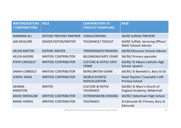| <b>WRITERS/EDITORS</b><br>/ CONTRIBUTORS | <b>ROLE</b>                    | <b>CONTRIBUTION TO</b><br><b>TOOLKIT/ EXEMPLARS</b> | <b>BASE</b>                                                      |
|------------------------------------------|--------------------------------|-----------------------------------------------------|------------------------------------------------------------------|
| <b>MANWAR ALI</b>                        | <b>EDITOR/ PREVENT PARTNER</b> | <b>CONSULTATIONS</b>                                | <b>SACRE Suffolk/ PREVENT</b>                                    |
| <b>JAN MCGUIRE</b>                       | <b>SENIOR EDITOR/WRITER</b>    | <b>TOLERANCE/ TOOLKIT</b>                           | SACRE Suffolk, Servicing Officer/<br><b>SMSC Schools Adviser</b> |
| <b>HELEN MATTER</b>                      | <b>EDITOR/WRITER</b>           | TERRORISM/EXTREMISM                                 | <b>SACRE/Diocesan Schools Adviser</b>                            |
| <b>HELEN MOORE</b>                       | <b>WRITER/CONTRIBUTOR</b>      | <b>BELONGING/HATE CRIME</b>                         | <b>SACRE/ Primary specialist</b>                                 |
| <b>STEPH CROSSLEY</b>                    | <b>WRITER/CONTRIBUTOR</b>      | <b>CULTURE &amp; FAITH/ HATE</b><br><b>CRIME</b>    | <b>SACRE/ St Albans Catholic High</b><br>School, Ipswich         |
| <b>SARAH COBBOLD</b>                     | <b>WRITER/CONTRIBUTOR</b>      | <b>BEING BRITISH GAME</b>                           | SACRE/ St Benedict's, Bury St Ed                                 |
| <b>CHERYL WASS</b>                       | <b>WRITER/CONTRIBUTOR</b>      | <b>WORLD EVENTS/</b><br><b>RADICALISATION</b>       | Head Teacher/ Cavendish CofE<br><b>Primary School</b>            |
| <b>GEMMA</b><br><b>KINGSTON</b>          | <b>WRITER</b>                  | <b>CULTURE &amp; FAITH/</b><br><b>TOLERANCE</b>     | SACRE/ St Mary's Church of<br>England Academy, Mildenhall        |
| <b>DAVID YAROSLAW</b>                    | <b>WRITER/CONTRIBUTOR</b>      | <b>EXTREMISM/BELONGING</b>                          | SACRE/ Debenham High School                                      |
| <b>MARIE HARRIS</b>                      | <b>WRITER/CONTRIBUTOR</b>      | <b>TOLERANCE</b>                                    | St Edmunds RC Primary, Bury St<br>Edmunds                        |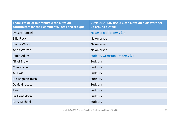| Thanks to all of our fantastic consultation<br>contributors for their comments, ideas and critique. | <b>CONSULTATION BASE: 6 consultation hubs were set</b><br>up around Suffolk: |
|-----------------------------------------------------------------------------------------------------|------------------------------------------------------------------------------|
| Lynsey Ramsell                                                                                      | <b>Newmarket Academy (1)</b>                                                 |
| <b>Ellie Flack</b>                                                                                  | Newmarket                                                                    |
| Elaine Wilson                                                                                       | Newmarket                                                                    |
| Anita Warren                                                                                        | Newmarket                                                                    |
| Paula Atkins                                                                                        | <b>Sudbury Ormiston Academy (2)</b>                                          |
| Nigel Brown                                                                                         | Sudbury                                                                      |
| <b>Cheryl Wass</b>                                                                                  | Sudbury                                                                      |
| A Lewis                                                                                             | Sudbury                                                                      |
| Pip Rogojan-Rush                                                                                    | Sudbury                                                                      |
| David Grocott                                                                                       | Sudbury                                                                      |
| <b>Tina Hosford</b>                                                                                 | Sudbury                                                                      |
| Liz Donaldson                                                                                       | Sudbury                                                                      |
| <b>Rory Michael</b>                                                                                 | Sudbury                                                                      |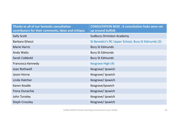| Thanks to all of our fantastic consultation<br>contributors for their comments, ideas and critique. | <b>CONSULTATION BASE: 6 consultation hubs were set</b><br>up around Suffolk |
|-----------------------------------------------------------------------------------------------------|-----------------------------------------------------------------------------|
| <b>Sally Scott</b>                                                                                  | <b>Sudbury Ormiston Academy</b>                                             |
| Barbara Ghezzi                                                                                      | St Benedict's RC Upper School, Bury St Edmunds (3)                          |
| <b>Marie Harris</b>                                                                                 | <b>Bury St Edmunds</b>                                                      |
| <b>Andy Watts</b>                                                                                   | <b>Bury St Edmunds</b>                                                      |
| Sarah Cobbold                                                                                       | <b>Bury St Edmunds</b>                                                      |
| Francesca Kennedy                                                                                   | Kesgrave High (4)                                                           |
| Joan Rothwell                                                                                       | Kesgrave/Ipswich                                                            |
| Jason Horne                                                                                         | Kesgrave/Ipswich                                                            |
| Linda Hatcher                                                                                       | Kesgrave/Ipswich                                                            |
| Karen Keadle                                                                                        | Kesgrave/Ipswich                                                            |
| Fiona Dunachie                                                                                      | Kesgrave/Ipswich                                                            |
| John Tunaley                                                                                        | Kesgrave/Ipswich                                                            |
| <b>Steph Crossley</b>                                                                               | Kesgrave/Ipswich                                                            |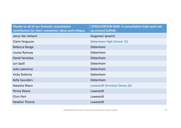| Thanks to all of our fantastic consultation<br>contributors for their comments, ideas and critique. | <b>CONSULTATION BASE: 6 consultation hubs were set</b><br>up around Suffolk: |
|-----------------------------------------------------------------------------------------------------|------------------------------------------------------------------------------|
| Janus Van Helvert                                                                                   | Kesgrave/Ipswich                                                             |
| Claire Ferguson                                                                                     | Debenham High School (5)                                                     |
| Rebecca Bange                                                                                       | Debenham                                                                     |
| Louise Ramsay                                                                                       | Debenham                                                                     |
| David Yaroslaw                                                                                      | Debenham                                                                     |
| Lyn Spall                                                                                           | Debenham                                                                     |
| Julie Lawrence                                                                                      | Debenham                                                                     |
| <b>Vicky Doherty</b>                                                                                | Debenham                                                                     |
| <b>Kelly Saunders</b>                                                                               | Debenham                                                                     |
| Natasha Mann                                                                                        | Lowestoft Ormiston Denes (6)                                                 |
| Penny Reeve                                                                                         | Lowestoft                                                                    |
| <b>Chris Pert</b>                                                                                   | Lowestoft                                                                    |
| <b>Heather Thorne</b>                                                                               | Lowestoft                                                                    |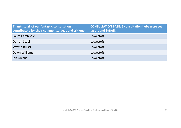| Thanks to all of our fantastic consultation<br>contributors for their comments, ideas and critique. | <b>CONSULTATION BASE: 6 consultation hubs were set</b><br>up around Suffolk: |
|-----------------------------------------------------------------------------------------------------|------------------------------------------------------------------------------|
| Laura Catchpole                                                                                     | Lowestoft                                                                    |
| Darren Steel                                                                                        | Lowestoft                                                                    |
| <b>Wayne Buisst</b>                                                                                 | Lowestoft                                                                    |
| Dawn Williams                                                                                       | Lowestoft                                                                    |
| lan Owens                                                                                           | Lowestoft                                                                    |